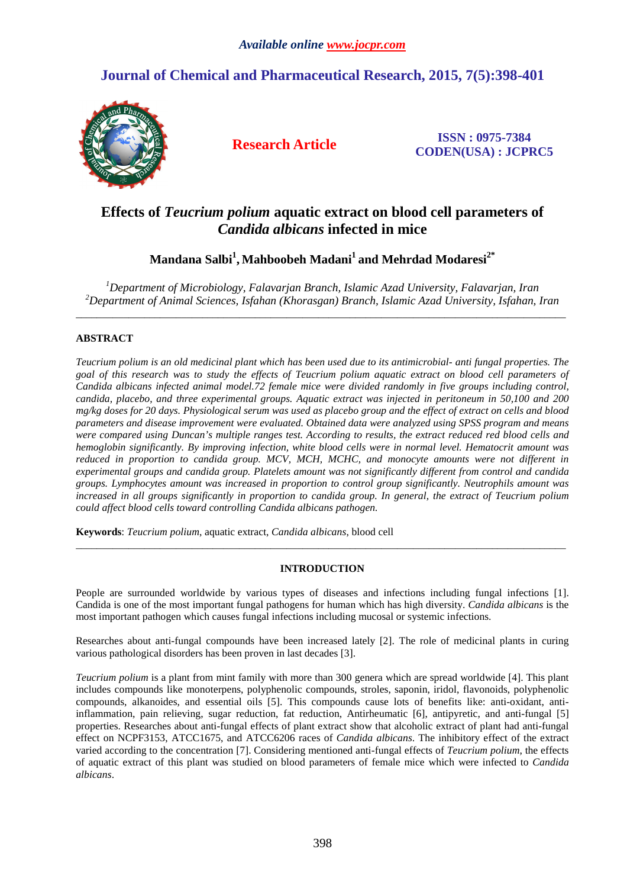# **Journal of Chemical and Pharmaceutical Research, 2015, 7(5):398-401**



**Research Article ISSN : 0975-7384 CODEN(USA) : JCPRC5**

## **Effects of** *Teucrium polium* **aquatic extract on blood cell parameters of**  *Candida albicans* **infected in mice**

### **Mandana Salbi<sup>1</sup> , Mahboobeh Madani<sup>1</sup>and Mehrdad Modaresi2\***

*<sup>1</sup>Department of Microbiology, Falavarjan Branch, Islamic Azad University, Falavarjan, Iran <sup>2</sup>Department of Animal Sciences, Isfahan (Khorasgan) Branch, Islamic Azad University, Isfahan, Iran*  \_\_\_\_\_\_\_\_\_\_\_\_\_\_\_\_\_\_\_\_\_\_\_\_\_\_\_\_\_\_\_\_\_\_\_\_\_\_\_\_\_\_\_\_\_\_\_\_\_\_\_\_\_\_\_\_\_\_\_\_\_\_\_\_\_\_\_\_\_\_\_\_\_\_\_\_\_\_\_\_\_\_\_\_\_\_\_\_\_\_\_\_\_

### **ABSTRACT**

*Teucrium polium is an old medicinal plant which has been used due to its antimicrobial- anti fungal properties. The goal of this research was to study the effects of Teucrium polium aquatic extract on blood cell parameters of Candida albicans infected animal model.72 female mice were divided randomly in five groups including control, candida, placebo, and three experimental groups. Aquatic extract was injected in peritoneum in 50,100 and 200 mg/kg doses for 20 days. Physiological serum was used as placebo group and the effect of extract on cells and blood parameters and disease improvement were evaluated. Obtained data were analyzed using SPSS program and means were compared using Duncan's multiple ranges test. According to results, the extract reduced red blood cells and hemoglobin significantly. By improving infection, white blood cells were in normal level. Hematocrit amount was reduced in proportion to candida group. MCV, MCH, MCHC, and monocyte amounts were not different in experimental groups and candida group. Platelets amount was not significantly different from control and candida groups. Lymphocytes amount was increased in proportion to control group significantly. Neutrophils amount was increased in all groups significantly in proportion to candida group. In general, the extract of Teucrium polium could affect blood cells toward controlling Candida albicans pathogen.* 

**Keywords**: *Teucrium polium*, aquatic extract, *Candida albicans*, blood cell

#### **INTRODUCTION**

\_\_\_\_\_\_\_\_\_\_\_\_\_\_\_\_\_\_\_\_\_\_\_\_\_\_\_\_\_\_\_\_\_\_\_\_\_\_\_\_\_\_\_\_\_\_\_\_\_\_\_\_\_\_\_\_\_\_\_\_\_\_\_\_\_\_\_\_\_\_\_\_\_\_\_\_\_\_\_\_\_\_\_\_\_\_\_\_\_\_\_\_\_

People are surrounded worldwide by various types of diseases and infections including fungal infections [1]. Candida is one of the most important fungal pathogens for human which has high diversity. *Candida albicans* is the most important pathogen which causes fungal infections including mucosal or systemic infections.

Researches about anti-fungal compounds have been increased lately [2]. The role of medicinal plants in curing various pathological disorders has been proven in last decades [3].

*Teucrium polium* is a plant from mint family with more than 300 genera which are spread worldwide [4]. This plant includes compounds like monoterpens, polyphenolic compounds, stroles, saponin, iridol, flavonoids, polyphenolic compounds, alkanoides, and essential oils [5]. This compounds cause lots of benefits like: anti-oxidant, antiinflammation, pain relieving, sugar reduction, fat reduction, Antirheumatic [6], antipyretic, and anti-fungal [5] properties. Researches about anti-fungal effects of plant extract show that alcoholic extract of plant had anti-fungal effect on NCPF3153, ATCC1675, and ATCC6206 races of *Candida albicans*. The inhibitory effect of the extract varied according to the concentration [7]. Considering mentioned anti-fungal effects of *Teucrium polium*, the effects of aquatic extract of this plant was studied on blood parameters of female mice which were infected to *Candida albicans*.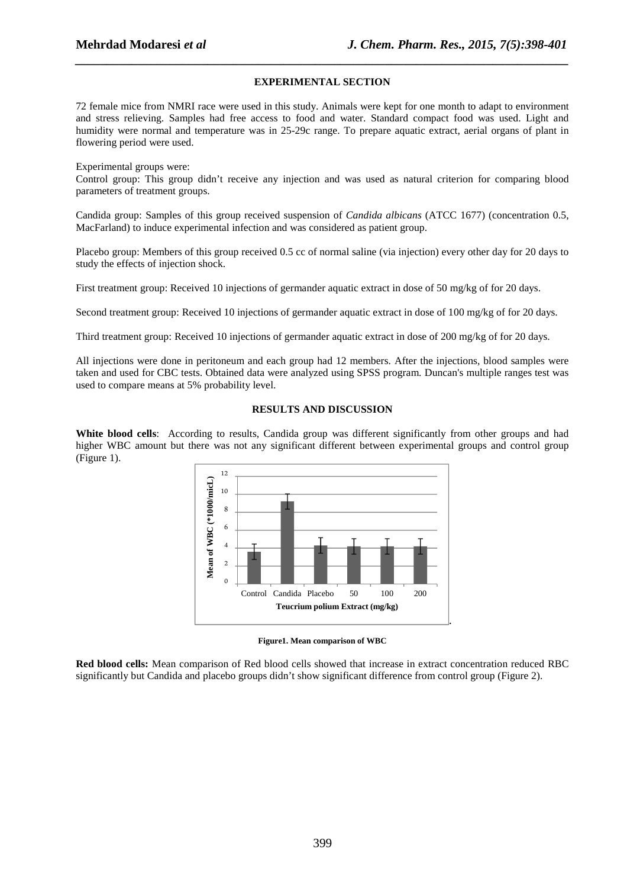#### **EXPERIMENTAL SECTION**

*\_\_\_\_\_\_\_\_\_\_\_\_\_\_\_\_\_\_\_\_\_\_\_\_\_\_\_\_\_\_\_\_\_\_\_\_\_\_\_\_\_\_\_\_\_\_\_\_\_\_\_\_\_\_\_\_\_\_\_\_\_\_\_\_\_\_\_\_\_\_\_\_\_\_\_\_\_\_*

72 female mice from NMRI race were used in this study. Animals were kept for one month to adapt to environment and stress relieving. Samples had free access to food and water. Standard compact food was used. Light and humidity were normal and temperature was in 25-29c range. To prepare aquatic extract, aerial organs of plant in flowering period were used.

Experimental groups were:

Control group: This group didn't receive any injection and was used as natural criterion for comparing blood parameters of treatment groups.

Candida group: Samples of this group received suspension of *Candida albicans* (ATCC 1677) (concentration 0.5, MacFarland) to induce experimental infection and was considered as patient group.

Placebo group: Members of this group received 0.5 cc of normal saline (via injection) every other day for 20 days to study the effects of injection shock.

First treatment group: Received 10 injections of germander aquatic extract in dose of 50 mg/kg of for 20 days.

Second treatment group: Received 10 injections of germander aquatic extract in dose of 100 mg/kg of for 20 days.

Third treatment group: Received 10 injections of germander aquatic extract in dose of 200 mg/kg of for 20 days.

All injections were done in peritoneum and each group had 12 members. After the injections, blood samples were taken and used for CBC tests. Obtained data were analyzed using SPSS program. Duncan's multiple ranges test was used to compare means at 5% probability level.

#### **RESULTS AND DISCUSSION**

**White blood cells**: According to results, Candida group was different significantly from other groups and had higher WBC amount but there was not any significant different between experimental groups and control group (Figure 1).



**Figure1. Mean comparison of WBC** 

**Red blood cells:** Mean comparison of Red blood cells showed that increase in extract concentration reduced RBC significantly but Candida and placebo groups didn't show significant difference from control group (Figure 2).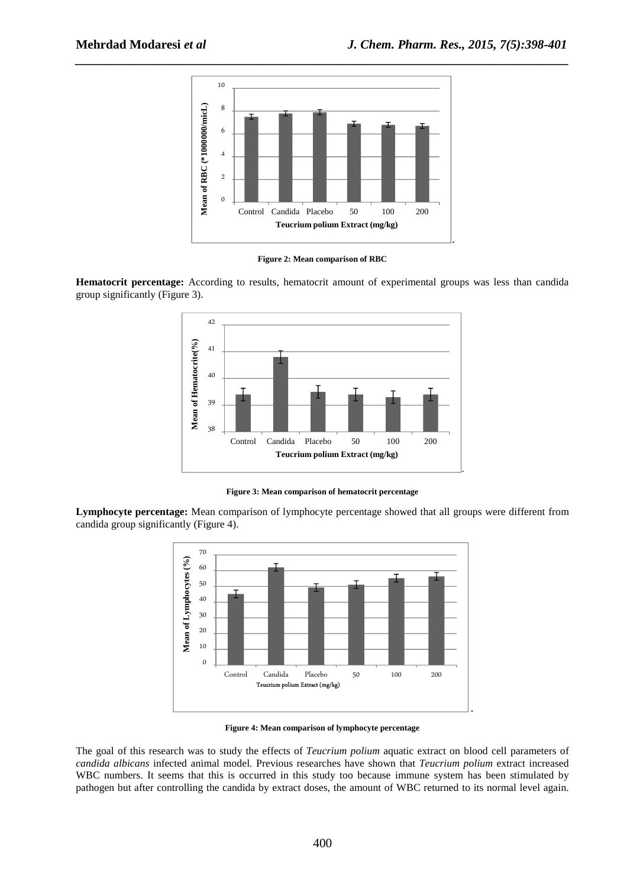

*\_\_\_\_\_\_\_\_\_\_\_\_\_\_\_\_\_\_\_\_\_\_\_\_\_\_\_\_\_\_\_\_\_\_\_\_\_\_\_\_\_\_\_\_\_\_\_\_\_\_\_\_\_\_\_\_\_\_\_\_\_\_\_\_\_\_\_\_\_\_\_\_\_\_\_\_\_\_*

**Figure 2: Mean comparison of RBC** 

**Hematocrit percentage:** According to results, hematocrit amount of experimental groups was less than candida group significantly (Figure 3).



**Figure 3: Mean comparison of hematocrit percentage** 

**Lymphocyte percentage:** Mean comparison of lymphocyte percentage showed that all groups were different from candida group significantly (Figure 4).



**Figure 4: Mean comparison of lymphocyte percentage** 

The goal of this research was to study the effects of *Teucrium polium* aquatic extract on blood cell parameters of *candida albicans* infected animal model. Previous researches have shown that *Teucrium polium* extract increased WBC numbers. It seems that this is occurred in this study too because immune system has been stimulated by pathogen but after controlling the candida by extract doses, the amount of WBC returned to its normal level again.